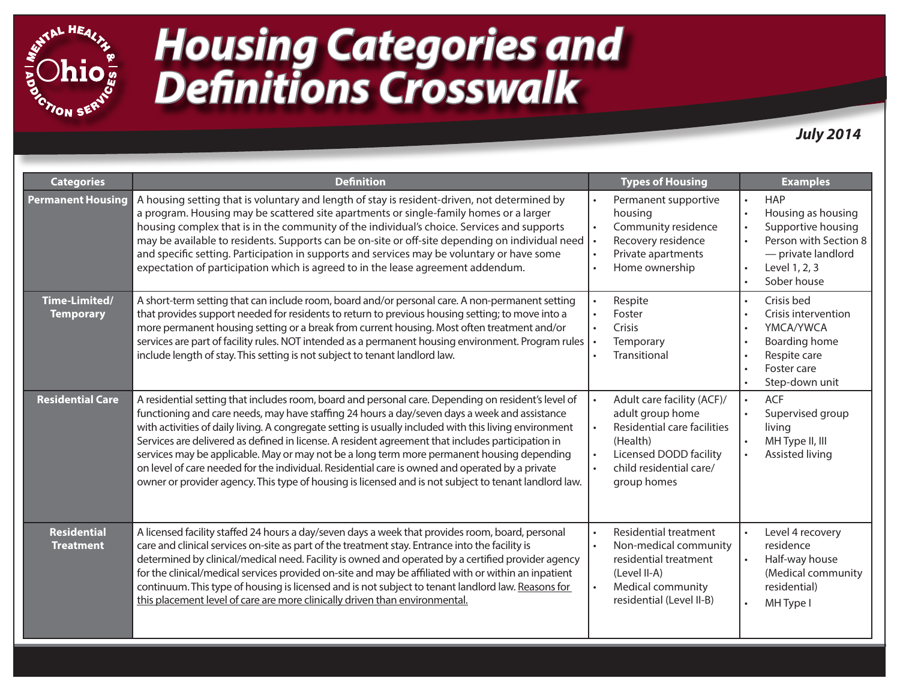

# *Housing Categories and Definitions Crosswalk*

*July 2014*

| <b>Categories</b>                      | <b>Definition</b>                                                                                                                                                                                                                                                                                                                                                                                                                                                                                                                                                                                                                                                                                                             | <b>Types of Housing</b>                                                                                                                                                                              | <b>Examples</b>                                                                                                                                    |
|----------------------------------------|-------------------------------------------------------------------------------------------------------------------------------------------------------------------------------------------------------------------------------------------------------------------------------------------------------------------------------------------------------------------------------------------------------------------------------------------------------------------------------------------------------------------------------------------------------------------------------------------------------------------------------------------------------------------------------------------------------------------------------|------------------------------------------------------------------------------------------------------------------------------------------------------------------------------------------------------|----------------------------------------------------------------------------------------------------------------------------------------------------|
| <b>Permanent Housing</b>               | A housing setting that is voluntary and length of stay is resident-driven, not determined by<br>a program. Housing may be scattered site apartments or single-family homes or a larger<br>housing complex that is in the community of the individual's choice. Services and supports<br>may be available to residents. Supports can be on-site or off-site depending on individual need<br>and specific setting. Participation in supports and services may be voluntary or have some<br>expectation of participation which is agreed to in the lease agreement addendum.                                                                                                                                                     | Permanent supportive<br>$\bullet$<br>housing<br>Community residence<br>$\bullet$<br>Recovery residence<br>Private apartments<br>Home ownership                                                       | <b>HAP</b><br>Housing as housing<br>$\bullet$<br>Supportive housing<br>Person with Section 8<br>- private landlord<br>Level 1, 2, 3<br>Sober house |
| Time-Limited/<br><b>Temporary</b>      | A short-term setting that can include room, board and/or personal care. A non-permanent setting<br>that provides support needed for residents to return to previous housing setting; to move into a<br>more permanent housing setting or a break from current housing. Most often treatment and/or<br>services are part of facility rules. NOT intended as a permanent housing environment. Program rules<br>include length of stay. This setting is not subject to tenant landlord law.                                                                                                                                                                                                                                      | Respite<br>Foster<br>Crisis<br>$\bullet$<br>Temporary<br>Transitional                                                                                                                                | Crisis bed<br>Crisis intervention<br>YMCA/YWCA<br>Boarding home<br>$\bullet$<br>Respite care<br>Foster care<br>Step-down unit                      |
| <b>Residential Care</b>                | A residential setting that includes room, board and personal care. Depending on resident's level of<br>functioning and care needs, may have staffing 24 hours a day/seven days a week and assistance<br>with activities of daily living. A congregate setting is usually included with this living environment<br>Services are delivered as defined in license. A resident agreement that includes participation in<br>services may be applicable. May or may not be a long term more permanent housing depending<br>on level of care needed for the individual. Residential care is owned and operated by a private<br>owner or provider agency. This type of housing is licensed and is not subject to tenant landlord law. | Adult care facility (ACF)/<br>adult group home<br>Residential care facilities<br>$\bullet$<br>(Health)<br>Licensed DODD facility<br>$\bullet$<br>child residential care/<br>$\bullet$<br>group homes | <b>ACF</b><br>$\bullet$<br>Supervised group<br>living<br>MH Type II, III<br>Assisted living                                                        |
| <b>Residential</b><br><b>Treatment</b> | A licensed facility staffed 24 hours a day/seven days a week that provides room, board, personal<br>care and clinical services on-site as part of the treatment stay. Entrance into the facility is<br>determined by clinical/medical need. Facility is owned and operated by a certified provider agency<br>for the clinical/medical services provided on-site and may be affiliated with or within an inpatient<br>continuum. This type of housing is licensed and is not subject to tenant landlord law. Reasons for<br>this placement level of care are more clinically driven than environmental.                                                                                                                        | <b>Residential treatment</b><br>Non-medical community<br>$\bullet$<br>residential treatment<br>(Level II-A)<br><b>Medical community</b><br>$\bullet$<br>residential (Level II-B)                     | Level 4 recovery<br>residence<br>Half-way house<br>(Medical community<br>residential)<br>MH Type I                                                 |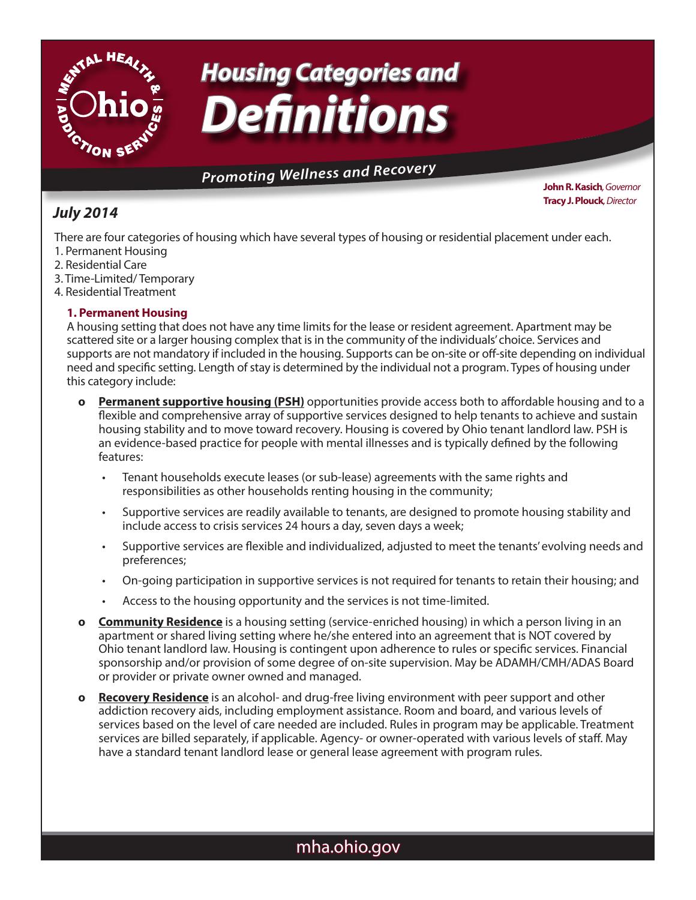

# *Housing Categories and Definitions*

# **Promoting Wellness and Recovery**

### *July 2014*

**John R. Kasich***, Governor* **Tracy J. Plouck***, Director*

There are four categories of housing which have several types of housing or residential placement under each. 1. Permanent Housing

- 2. Residential Care
- 3. Time-Limited/ Temporary
- 4. Residential Treatment

#### **1. Permanent Housing**

A housing setting that does not have any time limits for the lease or resident agreement. Apartment may be scattered site or a larger housing complex that is in the community of the individuals' choice. Services and supports are not mandatory if included in the housing. Supports can be on-site or off-site depending on individual need and specific setting. Length of stay is determined by the individual not a program. Types of housing under this category include:

- **o Permanent supportive housing (PSH)** opportunities provide access both to affordable housing and to a flexible and comprehensive array of supportive services designed to help tenants to achieve and sustain housing stability and to move toward recovery. Housing is covered by Ohio tenant landlord law. PSH is an evidence-based practice for people with mental illnesses and is typically defined by the following features:
	- Tenant households execute leases (or sub-lease) agreements with the same rights and responsibilities as other households renting housing in the community;
	- Supportive services are readily available to tenants, are designed to promote housing stability and include access to crisis services 24 hours a day, seven days a week;
	- Supportive services are flexible and individualized, adjusted to meet the tenants' evolving needs and preferences;
	- On-going participation in supportive services is not required for tenants to retain their housing; and
	- Access to the housing opportunity and the services is not time-limited.
- **o Community Residence** is a housing setting (service-enriched housing) in which a person living in an apartment or shared living setting where he/she entered into an agreement that is NOT covered by Ohio tenant landlord law. Housing is contingent upon adherence to rules or specific services. Financial sponsorship and/or provision of some degree of on-site supervision. May be ADAMH/CMH/ADAS Board or provider or private owner owned and managed.
- **o Recovery Residence** is an alcohol- and drug-free living environment with peer support and other addiction recovery aids, including employment assistance. Room and board, and various levels of services based on the level of care needed are included. Rules in program may be applicable. Treatment services are billed separately, if applicable. Agency- or owner-operated with various levels of staff. May have a standard tenant landlord lease or general lease agreement with program rules.

## mha.ohio.gov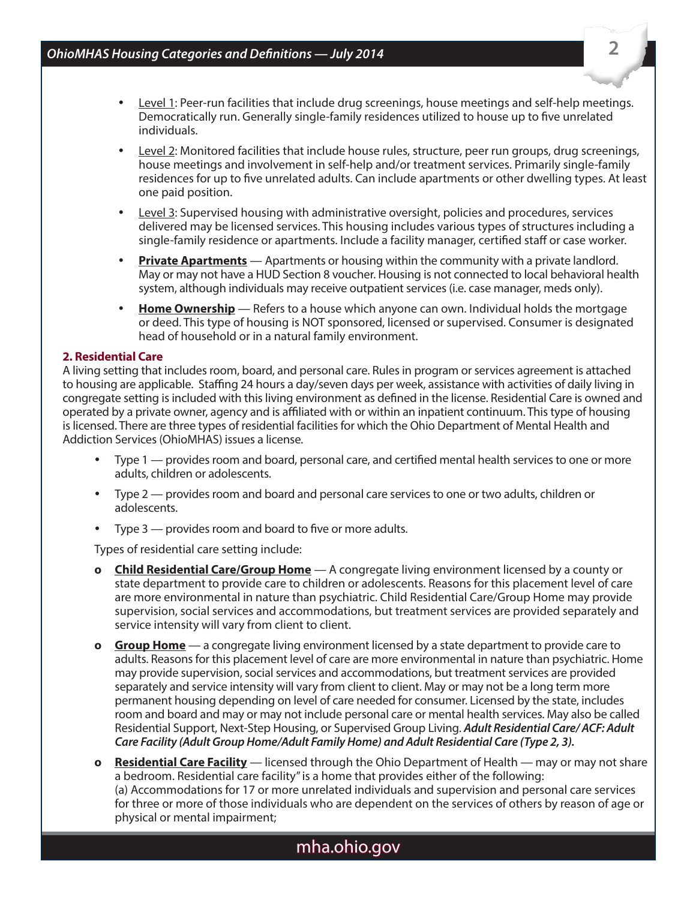- Level 1: Peer-run facilities that include drug screenings, house meetings and self-help meetings. Democratically run. Generally single-family residences utilized to house up to five unrelated individuals.
- Level 2: Monitored facilities that include house rules, structure, peer run groups, drug screenings, house meetings and involvement in self-help and/or treatment services. Primarily single-family residences for up to five unrelated adults. Can include apartments or other dwelling types. At least one paid position.
- Level 3: Supervised housing with administrative oversight, policies and procedures, services delivered may be licensed services. This housing includes various types of structures including a single-family residence or apartments. Include a facility manager, certified staff or case worker.
- **Private Apartments** Apartments or housing within the community with a private landlord. May or may not have a HUD Section 8 voucher. Housing is not connected to local behavioral health system, although individuals may receive outpatient services (i.e. case manager, meds only).
- **Home Ownership** Refers to a house which anyone can own. Individual holds the mortgage or deed. This type of housing is NOT sponsored, licensed or supervised. Consumer is designated head of household or in a natural family environment.

#### **2. Residential Care**

A living setting that includes room, board, and personal care. Rules in program or services agreement is attached to housing are applicable. Staffing 24 hours a day/seven days per week, assistance with activities of daily living in congregate setting is included with this living environment as defined in the license. Residential Care is owned and operated by a private owner, agency and is affiliated with or within an inpatient continuum. This type of housing is licensed. There are three types of residential facilities for which the Ohio Department of Mental Health and Addiction Services (OhioMHAS) issues a license.

- Type 1 provides room and board, personal care, and certified mental health services to one or more adults, children or adolescents.
- Type 2 provides room and board and personal care services to one or two adults, children or adolescents.
- Type  $3$  provides room and board to five or more adults.

Types of residential care setting include:

- **o Child Residential Care/Group Home** A congregate living environment licensed by a county or state department to provide care to children or adolescents. Reasons for this placement level of care are more environmental in nature than psychiatric. Child Residential Care/Group Home may provide supervision, social services and accommodations, but treatment services are provided separately and service intensity will vary from client to client.
- **o Group Home** a congregate living environment licensed by a state department to provide care to adults. Reasons for this placement level of care are more environmental in nature than psychiatric. Home may provide supervision, social services and accommodations, but treatment services are provided separately and service intensity will vary from client to client. May or may not be a long term more permanent housing depending on level of care needed for consumer. Licensed by the state, includes room and board and may or may not include personal care or mental health services. May also be called Residential Support, Next-Step Housing, or Supervised Group Living. *Adult Residential Care/ ACF: Adult Care Facility (Adult Group Home/Adult Family Home) and Adult Residential Care (Type 2, 3).*
- **o Residential Care Facility** licensed through the Ohio Department of Health may or may not share a bedroom. Residential care facility" is a home that provides either of the following: (a) Accommodations for 17 or more unrelated individuals and supervision and personal care services for three or more of those individuals who are dependent on the services of others by reason of age or physical or mental impairment;

### mha.ohio.gov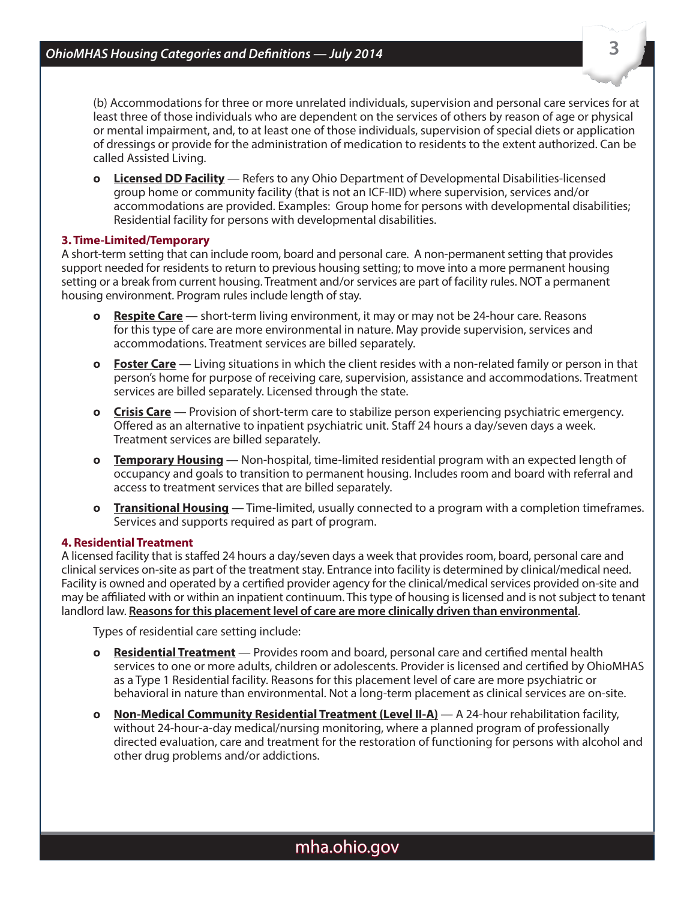(b) Accommodations for three or more unrelated individuals, supervision and personal care services for at least three of those individuals who are dependent on the services of others by reason of age or physical or mental impairment, and, to at least one of those individuals, supervision of special diets or application of dressings or provide for the administration of medication to residents to the extent authorized. Can be called Assisted Living.

**o Licensed DD Facility** — Refers to any Ohio Department of Developmental Disabilities-licensed group home or community facility (that is not an ICF-IID) where supervision, services and/or accommodations are provided. Examples: Group home for persons with developmental disabilities; Residential facility for persons with developmental disabilities.

#### **3. Time-Limited/Temporary**

A short-term setting that can include room, board and personal care. A non-permanent setting that provides support needed for residents to return to previous housing setting; to move into a more permanent housing setting or a break from current housing. Treatment and/or services are part of facility rules. NOT a permanent housing environment. Program rules include length of stay.

- **o Respite Care** short-term living environment, it may or may not be 24-hour care. Reasons for this type of care are more environmental in nature. May provide supervision, services and accommodations. Treatment services are billed separately.
- **o Foster Care** Living situations in which the client resides with a non-related family or person in that person's home for purpose of receiving care, supervision, assistance and accommodations. Treatment services are billed separately. Licensed through the state.
- **o Crisis Care** Provision of short-term care to stabilize person experiencing psychiatric emergency. Offered as an alternative to inpatient psychiatric unit. Staff 24 hours a day/seven days a week. Treatment services are billed separately.
- **o Temporary Housing** Non-hospital, time-limited residential program with an expected length of occupancy and goals to transition to permanent housing. Includes room and board with referral and access to treatment services that are billed separately.
- **o Transitional Housing** Time-limited, usually connected to a program with a completion timeframes. Services and supports required as part of program.

#### **4. Residential Treatment**

A licensed facility that is staffed 24 hours a day/seven days a week that provides room, board, personal care and clinical services on-site as part of the treatment stay. Entrance into facility is determined by clinical/medical need. Facility is owned and operated by a certified provider agency for the clinical/medical services provided on-site and may be affiliated with or within an inpatient continuum. This type of housing is licensed and is not subject to tenant landlord law. **Reasons for this placement level of care are more clinically driven than environmental**.

Types of residential care setting include:

- **o Residential Treatment** Provides room and board, personal care and certified mental health services to one or more adults, children or adolescents. Provider is licensed and certified by OhioMHAS as a Type 1 Residential facility. Reasons for this placement level of care are more psychiatric or behavioral in nature than environmental. Not a long-term placement as clinical services are on-site.
- **o Non-Medical Community Residential Treatment (Level II-A)** A 24-hour rehabilitation facility, without 24-hour-a-day medical/nursing monitoring, where a planned program of professionally directed evaluation, care and treatment for the restoration of functioning for persons with alcohol and other drug problems and/or addictions.

**3**